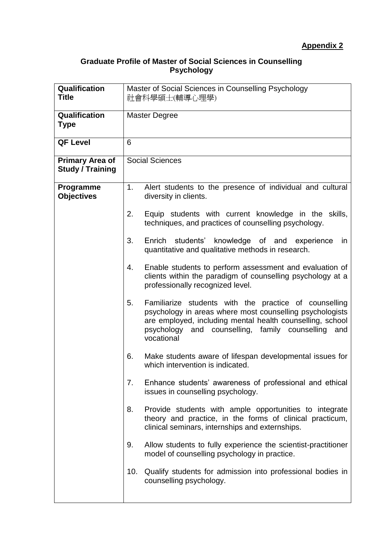## **Graduate Profile of Master of Social Sciences in Counselling Psychology**

| Qualification<br><b>Title</b>                     | Master of Social Sciences in Counselling Psychology<br>社會科學碩士(輔導心理學) |                                                                                                                                                                                                                                                             |  |
|---------------------------------------------------|----------------------------------------------------------------------|-------------------------------------------------------------------------------------------------------------------------------------------------------------------------------------------------------------------------------------------------------------|--|
| Qualification<br><b>Type</b>                      | <b>Master Degree</b>                                                 |                                                                                                                                                                                                                                                             |  |
| <b>QF Level</b>                                   | 6                                                                    |                                                                                                                                                                                                                                                             |  |
| <b>Primary Area of</b><br><b>Study / Training</b> | <b>Social Sciences</b>                                               |                                                                                                                                                                                                                                                             |  |
| Programme<br><b>Objectives</b>                    | 1.                                                                   | Alert students to the presence of individual and cultural<br>diversity in clients.                                                                                                                                                                          |  |
|                                                   | 2.                                                                   | Equip students with current knowledge in the skills,<br>techniques, and practices of counselling psychology.                                                                                                                                                |  |
|                                                   | 3.                                                                   | Enrich students' knowledge of and experience<br>in<br>quantitative and qualitative methods in research.                                                                                                                                                     |  |
|                                                   | 4.                                                                   | Enable students to perform assessment and evaluation of<br>clients within the paradigm of counselling psychology at a<br>professionally recognized level.                                                                                                   |  |
|                                                   | 5.                                                                   | Familiarize students with the practice of counselling<br>psychology in areas where most counselling psychologists<br>are employed, including mental health counselling, school<br>counselling,<br>psychology and<br>family counselling<br>and<br>vocational |  |
|                                                   | 6.                                                                   | Make students aware of lifespan developmental issues for<br>which intervention is indicated.                                                                                                                                                                |  |
|                                                   | 7.                                                                   | Enhance students' awareness of professional and ethical<br>issues in counselling psychology.                                                                                                                                                                |  |
|                                                   | 8.                                                                   | Provide students with ample opportunities to integrate<br>theory and practice, in the forms of clinical practicum,<br>clinical seminars, internships and externships.                                                                                       |  |
|                                                   | 9.                                                                   | Allow students to fully experience the scientist-practitioner<br>model of counselling psychology in practice.                                                                                                                                               |  |
|                                                   | 10.                                                                  | Qualify students for admission into professional bodies in<br>counselling psychology.                                                                                                                                                                       |  |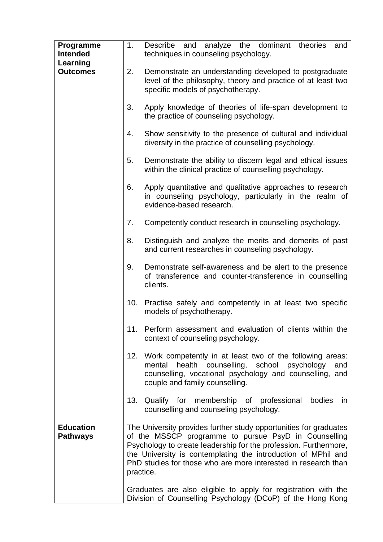| Programme<br><b>Intended</b>        | 1.  | Describe and<br>analyze the dominant<br>theories<br>and<br>techniques in counseling psychology.                                                                                                                                                                                                                                               |
|-------------------------------------|-----|-----------------------------------------------------------------------------------------------------------------------------------------------------------------------------------------------------------------------------------------------------------------------------------------------------------------------------------------------|
| Learning                            |     |                                                                                                                                                                                                                                                                                                                                               |
| <b>Outcomes</b>                     | 2.  | Demonstrate an understanding developed to postgraduate<br>level of the philosophy, theory and practice of at least two<br>specific models of psychotherapy.                                                                                                                                                                                   |
|                                     | 3.  | Apply knowledge of theories of life-span development to<br>the practice of counseling psychology.                                                                                                                                                                                                                                             |
|                                     | 4.  | Show sensitivity to the presence of cultural and individual<br>diversity in the practice of counselling psychology.                                                                                                                                                                                                                           |
|                                     | 5.  | Demonstrate the ability to discern legal and ethical issues<br>within the clinical practice of counselling psychology.                                                                                                                                                                                                                        |
|                                     | 6.  | Apply quantitative and qualitative approaches to research<br>in counseling psychology, particularly in the realm of<br>evidence-based research.                                                                                                                                                                                               |
|                                     | 7.  | Competently conduct research in counselling psychology.                                                                                                                                                                                                                                                                                       |
|                                     | 8.  | Distinguish and analyze the merits and demerits of past<br>and current researches in counseling psychology.                                                                                                                                                                                                                                   |
|                                     | 9.  | Demonstrate self-awareness and be alert to the presence<br>of transference and counter-transference in counselling<br>clients.                                                                                                                                                                                                                |
|                                     | 10. | Practise safely and competently in at least two specific<br>models of psychotherapy.                                                                                                                                                                                                                                                          |
|                                     | 11. | Perform assessment and evaluation of clients within the<br>context of counseling psychology.                                                                                                                                                                                                                                                  |
|                                     | 12. | Work competently in at least two of the following areas:<br>counselling, school<br>health<br>psychology<br>mental<br>and<br>counselling, vocational psychology and counselling, and<br>couple and family counselling.                                                                                                                         |
|                                     | 13. | Qualify for membership of professional bodies<br>in<br>counselling and counseling psychology.                                                                                                                                                                                                                                                 |
| <b>Education</b><br><b>Pathways</b> |     | The University provides further study opportunities for graduates<br>of the MSSCP programme to pursue PsyD in Counselling<br>Psychology to create leadership for the profession. Furthermore,<br>the University is contemplating the introduction of MPhil and<br>PhD studies for those who are more interested in research than<br>practice. |
|                                     |     | Graduates are also eligible to apply for registration with the<br>Division of Counselling Psychology (DCoP) of the Hong Kong                                                                                                                                                                                                                  |